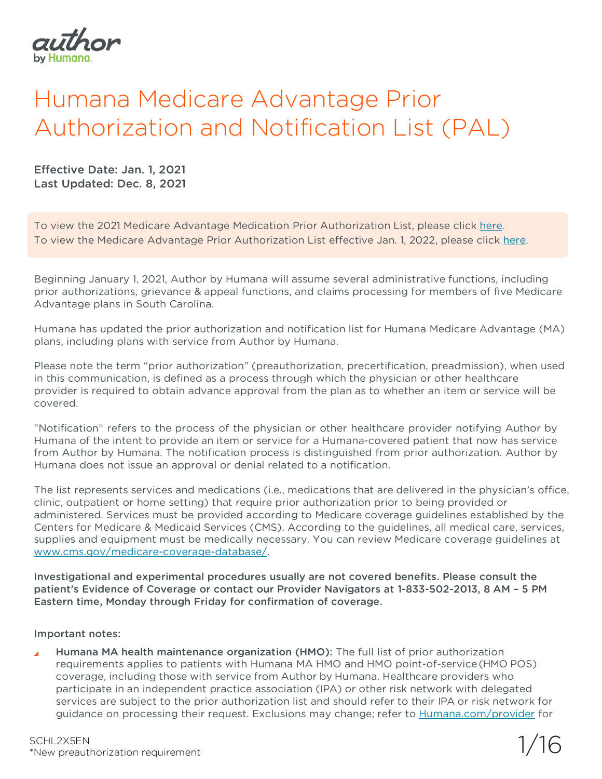

## Humana Medicare Advantage Prior Authorization and Notification List (PAL)

Effective Date: Jan. 1, 2021 Last Updated: Dec. 8, 2021

To view the 2021 Medicare Advantage Medication Prior Authorization List, please click [here.](https://docushare-web.apps.external.pioneer.humana.com/Marketing/docushare-app?file=4548349) To view the Medicare Advantage Prior Authorization List effective Jan. 1, 2022, please click [here.](https://docs.authorbyhumana.com/PAL2022.pdf)

Beginning January 1, 2021, Author by Humana will assume several administrative functions, including prior authorizations, grievance & appeal functions, and claims processing for members of five Medicare Advantage plans in South Carolina.

Humana has updated the prior authorization and notification list for Humana Medicare Advantage (MA) plans, including plans with service from Author by Humana.

Please note the term "prior authorization" (preauthorization, precertification, preadmission), when used in this communication, is defined as a process through which the physician or other healthcare provider is required to obtain advance approval from the plan as to whether an item or service will be covered.

"Notification" refers to the process of the physician or other healthcare provider notifying Author by Humana of the intent to provide an item or service for a Humana-covered patient that now has service from Author by Humana. The notification process is distinguished from prior authorization. Author by Humana does not issue an approval or denial related to a notification.

The list represents services and medications (i.e., medications that are delivered in the physician's office, clinic, outpatient or home setting) that require prior authorization prior to being provided or administered. Services must be provided according to Medicare coverage guidelines established by the Centers for Medicare & Medicaid Services (CMS). According to the guidelines, all medical care, services, supplies and equipment must be medically necessary. You can review Medicare coverage guidelines at [www.cms.gov/medicare-coverage-database/.](http://www.cms.gov/medicare-coverage-database/)

Investigational and experimental procedures usually are not covered benefits. Please consult the patient's Evidence of Coverage or contact our Provider Navigators at 1-833-502-2013, 8 AM – 5 PM Eastern time, Monday through Friday for confirmation of coverage.

Important notes:

Humana MA health maintenance organization (HMO): The full list of prior authorization requirements applies to patients with Humana MA HMO and HMO point-of-service(HMO POS) coverage, including those with service from Author by Humana. Healthcare providers who participate in an independent practice association (IPA) or other risk network with delegated services are subject to the prior authorization list and should refer to their IPA or risk network for guidance on processing their request. Exclusions may change; refer to [Humana.com/provider](https://www.humana.com/provider/) for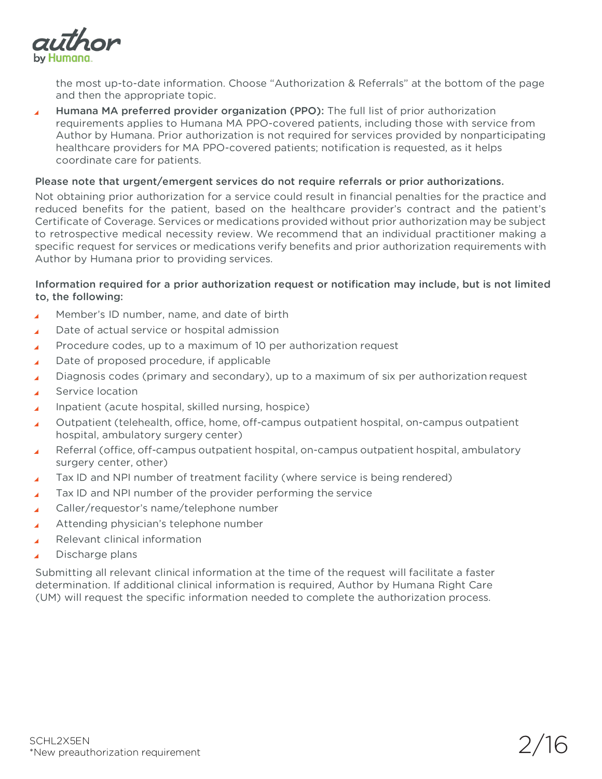

the most up-to-date information. Choose "Authorization & Referrals" at the bottom of the page and then the appropriate topic.

Humana MA preferred provider organization (PPO): The full list of prior authorization z requirements applies to Humana MA PPO-covered patients, including those with service from Author by Humana. Prior authorization is not required for services provided by nonparticipating healthcare providers for MA PPO-covered patients; notification is requested, as it helps coordinate care for patients.

## Please note that urgent/emergent services do not require referrals or prior authorizations.

Not obtaining prior authorization for a service could result in financial penalties for the practice and reduced benefits for the patient, based on the healthcare provider's contract and the patient's Certificate of Coverage. Services or medications provided without prior authorization may be subject to retrospective medical necessity review. We recommend that an individual practitioner making a specific request for services or medications verify benefits and prior authorization requirements with Author by Humana prior to providing services.

## Information required for a prior authorization request or notification may include, but is not limited to, the following:

- Member's ID number, name, and date of birth  $\overline{A}$
- Date of actual service or hospital admission z
- Procedure codes, up to a maximum of 10 per authorization request z
- Date of proposed procedure, if applicable
- Diagnosis codes (primary and secondary), up to a maximum of six per authorization request ×
- Service location
- Inpatient (acute hospital, skilled nursing, hospice)  $\overline{\mathbf{A}}$
- Outpatient (telehealth, office, home, off-campus outpatient hospital, on-campus outpatient hospital, ambulatory surgery center)
- Referral (office, off-campus outpatient hospital, on-campus outpatient hospital, ambulatory surgery center, other)
- Tax ID and NPI number of treatment facility (where service is being rendered)  $\overline{\mathbf{A}}$
- Tax ID and NPI number of the provider performing the service  $\overline{\mathbf{A}}$
- Caller/requestor's name/telephone number z
- Attending physician's telephone number  $\overline{A}$
- Relevant clinical information
- Discharge plans

Submitting all relevant clinical information at the time of the request will facilitate a faster determination. If additional clinical information is required, Author by Humana Right Care (UM) will request the specific information needed to complete the authorization process.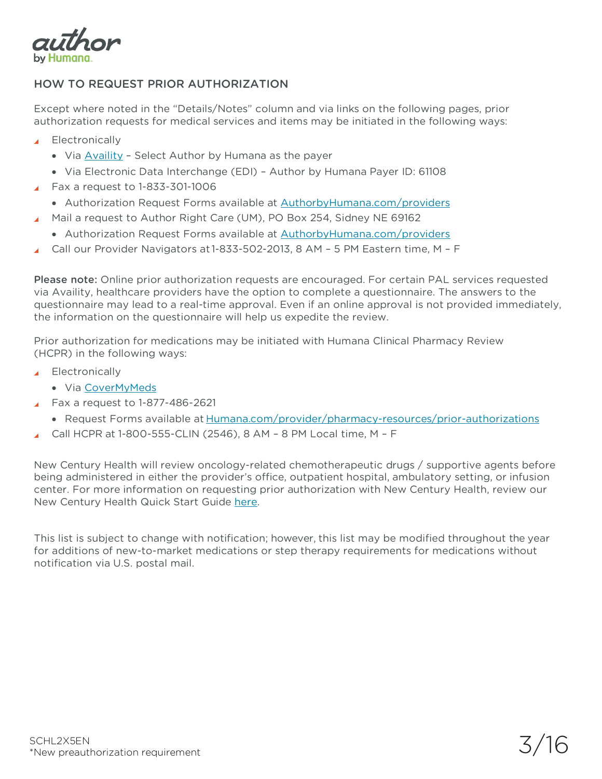

## HOW TO REQUEST PRIOR AUTHORIZATION

Except where noted in the "Details/Notes" column and via links on the following pages, prior authorization requests for medical services and items may be initiated in the following ways:

- **Electronically** 
	- Via [Availity](https://www.availity.com/) Select Author by Humana as the payer
	- Via Electronic Data Interchange (EDI) Author by Humana Payer ID: 61108
- Fax a request to 1-833-301-1006
	- Authorization Request Forms available at [AuthorbyHumana.com/providers](https://authorbyhumana.com/providers)
- Mail a request to Author Right Care (UM), PO Box 254, Sidney NE 69162
	- Authorization Request Forms available at [AuthorbyHumana.com/providers](https://authorbyhumana.com/providers)
- Call our Provider Navigators at 1-833-502-2013, 8 AM 5 PM Eastern time, M F

Please note: Online prior authorization requests are encouraged. For certain PAL services requested via Availity, healthcare providers have the option to complete a questionnaire. The answers to the questionnaire may lead to a real-time approval. Even if an online approval is not provided immediately, the information on the questionnaire will help us expedite the review.

Prior authorization for medications may be initiated with Humana Clinical Pharmacy Review (HCPR) in the following ways:

- ▲ Electronically
	- Via [CoverMyMeds](https://www.covermymeds.com/main/prior-authorization-forms/humana/)
	- Fax a request to 1-877-486-2621
	- Request Forms available at [Humana.com/provider/pharmacy-resources/prior-authorizations](https://www.humana.com/provider/pharmacy-resources/prior-authorizations)
- Call HCPR at 1-800-555-CLIN (2546), 8 AM 8 PM Local time, M F

New Century Health will review oncology-related chemotherapeutic drugs / supportive agents before being administered in either the provider's office, outpatient hospital, ambulatory setting, or infusion center. For more information on requesting prior authorization with New Century Health, review our New Century Health Quick Start Guide [here.](https://docs.authorbyhumana.com/QuickStartGuide_NCH_Final.pdf)

This list is subject to change with notification; however, this list may be modified throughout the year for additions of new-to-market medications or step therapy requirements for medications without notification via U.S. postal mail.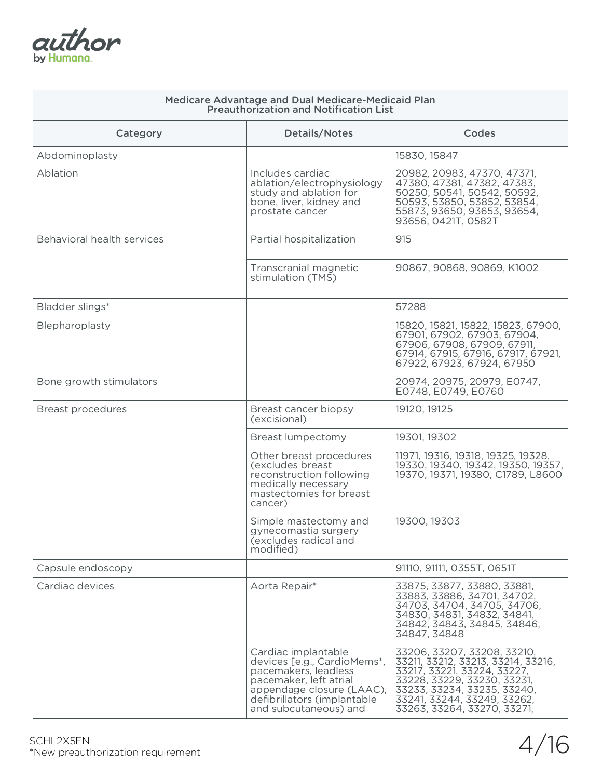| author     |
|------------|
| by Humana. |

| <b>Medicare Advantage and Dual Medicare-Medicaid Plan</b><br><b>Preauthorization and Notification List</b> |                                                                                                                                                                                           |                                                                                                                                                                                                                              |
|------------------------------------------------------------------------------------------------------------|-------------------------------------------------------------------------------------------------------------------------------------------------------------------------------------------|------------------------------------------------------------------------------------------------------------------------------------------------------------------------------------------------------------------------------|
| Category                                                                                                   | <b>Details/Notes</b>                                                                                                                                                                      | Codes                                                                                                                                                                                                                        |
| Abdominoplasty                                                                                             |                                                                                                                                                                                           | 15830, 15847                                                                                                                                                                                                                 |
| Ablation                                                                                                   | Includes cardiac<br>ablation/electrophysiology<br>study and ablation for<br>bone, liver, kidney and<br>prostate cancer                                                                    | 20982, 20983, 47370, 47371,<br>47380, 47381, 47382, 47383,<br>50250, 50541, 50542, 50592,<br>50593, 53850, 53852, 53854,<br>55873, 93650, 93653, 93654,<br>93656, 0421T, 0582T                                               |
| <b>Behavioral health services</b>                                                                          | Partial hospitalization                                                                                                                                                                   | 915                                                                                                                                                                                                                          |
|                                                                                                            | Transcranial magnetic<br>stimulation (TMS)                                                                                                                                                | 90867, 90868, 90869, K1002                                                                                                                                                                                                   |
| Bladder slings*                                                                                            |                                                                                                                                                                                           | 57288                                                                                                                                                                                                                        |
| Blepharoplasty                                                                                             |                                                                                                                                                                                           | 15820, 15821, 15822, 15823, 67900,<br>67901, 67902, 67903, 67904,<br>67906, 67908, 67909, 67911,<br>67914, 67915, 67916, 67917, 67921,<br>67922, 67923, 67924, 67950                                                         |
| Bone growth stimulators                                                                                    |                                                                                                                                                                                           | 20974, 20975, 20979, E0747,<br>E0748, E0749, E0760                                                                                                                                                                           |
| <b>Breast procedures</b>                                                                                   | Breast cancer biopsy<br>(excisional)                                                                                                                                                      | 19120, 19125                                                                                                                                                                                                                 |
|                                                                                                            | Breast lumpectomy                                                                                                                                                                         | 19301, 19302                                                                                                                                                                                                                 |
|                                                                                                            | Other breast procedures<br>(excludes breast)<br>reconstruction following<br>medically necessary<br>mastectomies for breast<br>cancer)                                                     | 11971, 19316, 19318, 19325, 19328,<br>19330, 19340, 19342, 19350, 19357,<br>19370, 19371, 19380, C1789, L8600                                                                                                                |
|                                                                                                            | Simple mastectomy and<br>gynecomastia surgery<br>(excludes radical and<br>modified)                                                                                                       | 19300, 19303                                                                                                                                                                                                                 |
| Capsule endoscopy                                                                                          |                                                                                                                                                                                           | 91110, 91111, 0355T, 0651T                                                                                                                                                                                                   |
| Cardiac devices                                                                                            | Aorta Repair*                                                                                                                                                                             | 33875, 33877, 33880, 33881,<br>33883, 33886, 34701, 34702,<br>34703, 34704, 34705, 34706,<br>34830, 34831, 34832, 34841,<br>34842, 34843, 34845, 34846,<br>34847, 34848                                                      |
|                                                                                                            | Cardiac implantable<br>devices [e.g., CardioMems*,<br>pacemakers, leadless<br>pacemaker, left atrial<br>appendage closure (LAAC),<br>defibrillators (implantable<br>and subcutaneous) and | 33206, 33207, 33208, 33210,<br>33211, 33212, 33213, 33214, 33216,<br>33217, 33221, 33224, 33227,<br>33228, 33229, 33230, 33231,<br>33233, 33234, 33235, 33240,<br>33241, 33244, 33249, 33262,<br>33263, 33264, 33270, 33271, |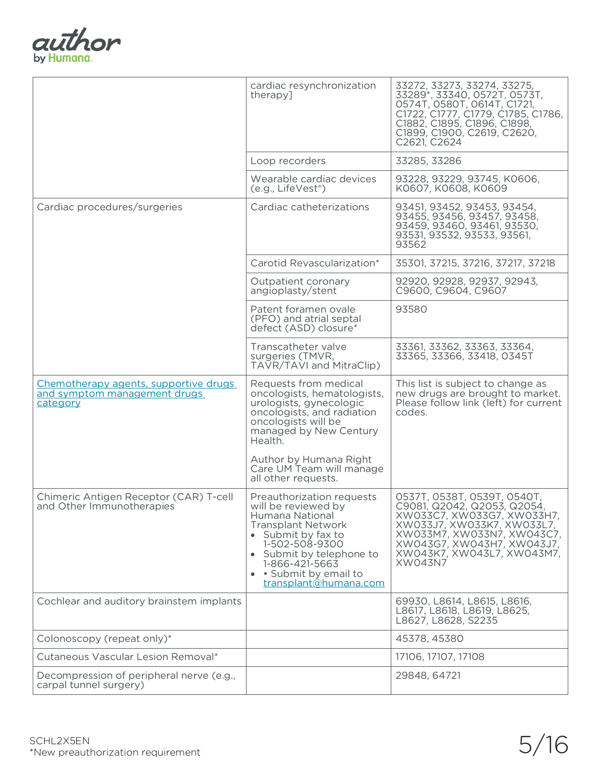

|                                                                                   | cardiac resynchronization<br>therapy]                                                                                                                                                                                                   | 33272, 33273, 33274, 33275,<br>33289*, 33340, 0572T, 0573T,<br>0574T, 0580T, 0614T, C1721,<br>C1722, C1777, C1779, C1785, C1786,<br>C1882, C1895, C1896, C1898,<br>C1899, C1900, C2619, C2620,<br>C2621, C2624                     |
|-----------------------------------------------------------------------------------|-----------------------------------------------------------------------------------------------------------------------------------------------------------------------------------------------------------------------------------------|------------------------------------------------------------------------------------------------------------------------------------------------------------------------------------------------------------------------------------|
|                                                                                   | Loop recorders                                                                                                                                                                                                                          | 33285, 33286                                                                                                                                                                                                                       |
|                                                                                   | Wearable cardiac devices<br>(e.g., LifeVest <sup>®</sup> )                                                                                                                                                                              | 93228, 93229, 93745, K0606,<br>K0607, K0608, K0609                                                                                                                                                                                 |
| Cardiac procedures/surgeries                                                      | Cardiac catheterizations                                                                                                                                                                                                                | 93451, 93452, 93453, 93454,<br>93455, 93456, 93457, 93458,<br>93459, 93460, 93461, 93530,<br>93531, 93532, 93533, 93561,<br>93562                                                                                                  |
|                                                                                   | Carotid Revascularization*                                                                                                                                                                                                              | 35301, 37215, 37216, 37217, 37218                                                                                                                                                                                                  |
|                                                                                   | Outpatient coronary<br>angioplasty/stent                                                                                                                                                                                                | 92920, 92928, 92937, 92943,<br>C9600, C9604, C9607                                                                                                                                                                                 |
|                                                                                   | Patent foramen ovale<br>(PFO) and atrial septal<br>defect (ASD) closure*                                                                                                                                                                | 93580                                                                                                                                                                                                                              |
|                                                                                   | Transcatheter valve<br>surgeries (TMVR,<br>TAVR/TAVI and MitraClip)                                                                                                                                                                     | 33361, 33362, 33363, 33364,<br>33365, 33366, 33418, 0345T                                                                                                                                                                          |
| Chemotherapy agents, supportive drugs<br>and symptom management drugs<br>category | Requests from medical<br>oncologists, hematologists,<br>urologists, gynecologic<br>oncologists, and radiation<br>oncologists will be<br>managed by New Century<br>Health.                                                               | This list is subject to change as<br>new drugs are brought to market.<br>Please follow link (left) for current<br>codes.                                                                                                           |
|                                                                                   | Author by Humana Right<br>Care UM Team will manage<br>all other requests.                                                                                                                                                               |                                                                                                                                                                                                                                    |
| Chimeric Antigen Receptor (CAR) T-cell<br>and Other Immunotherapies               | Preauthorization requests<br>will be reviewed by<br>Humana National<br><b>Transplant Network</b><br>• Submit by fax to<br>1-502-508-9300<br>• Submit by telephone to<br>1-866-421-5663<br>· Submit by email to<br>transplant@humana.com | 0537T, 0538T, 0539T, 0540T,<br>C9081, Q2042, Q2053, Q2054,<br>XW033C7, XW033G7, XW033H7,<br>XW033J7, XW033K7, XW033L7,<br>XW033M7, XW033N7, XW043C7,<br>XW043G7, XW043H7, XW043J7,<br>XW043K7, XW043L7, XW043M7,<br><b>XW043N7</b> |
| Cochlear and auditory brainstem implants                                          |                                                                                                                                                                                                                                         | 69930, L8614, L8615, L8616,<br>L8617, L8618, L8619, L8625,<br>L8627, L8628, S2235                                                                                                                                                  |
| Colonoscopy (repeat only)*                                                        |                                                                                                                                                                                                                                         | 45378, 45380                                                                                                                                                                                                                       |
| Cutaneous Vascular Lesion Removal*                                                |                                                                                                                                                                                                                                         | 17106, 17107, 17108                                                                                                                                                                                                                |
| Decompression of peripheral nerve (e.g.,<br>carpal tunnel surgery)                |                                                                                                                                                                                                                                         | 29848, 64721                                                                                                                                                                                                                       |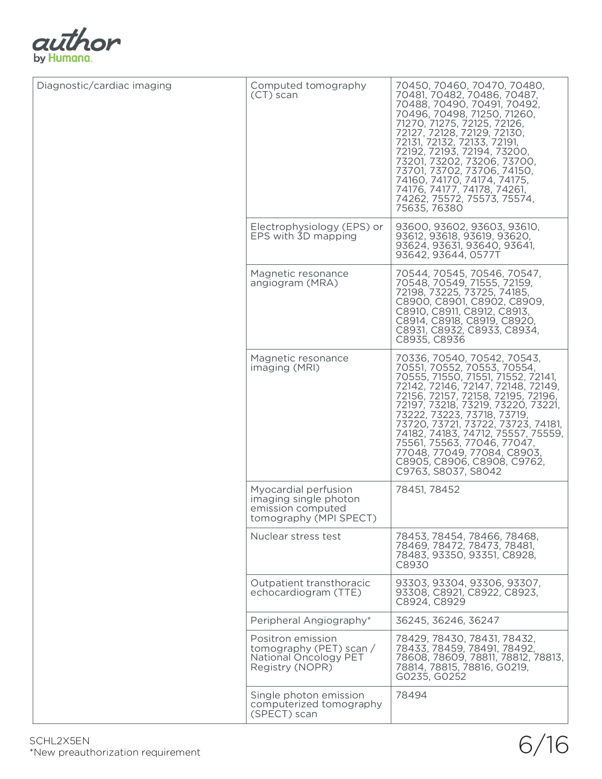

| Diagnostic/cardiac imaging | Computed tomography<br>(CT) scan                                                             | 70450, 70460, 70470, 70480,<br>70481, 70482, 70486, 70487,<br>70488, 70490, 70491, 70492,<br>70496, 70498, 71250, 71260,<br>71270, 71275, 72125, 72126,<br>72127, 72128, 72129, 72130,<br>72131, 72132, 72133, 72191,<br>72192, 72193, 72194, 73200,<br>73201, 73202, 73206, 73700,<br>73701, 73702, 73706, 74150,<br>74160, 74170, 74174, 74175,<br>74176, 74177, 74178, 74261,<br>74262, 75572, 75573, 75574,<br>75635, 76380                   |
|----------------------------|----------------------------------------------------------------------------------------------|---------------------------------------------------------------------------------------------------------------------------------------------------------------------------------------------------------------------------------------------------------------------------------------------------------------------------------------------------------------------------------------------------------------------------------------------------|
|                            | Electrophysiology (EPS) or<br>EPS with 3D mapping                                            | 93600, 93602, 93603, 93610,<br>93612, 93618, 93619, 93620,<br>93624, 93631, 93640, 93641,<br>93642, 93644, 0577T                                                                                                                                                                                                                                                                                                                                  |
|                            | Magnetic resonance<br>angiogram (MRA)                                                        | 70544, 70545, 70546, 70547,<br>70548, 70549, 71555, 72159,<br>72198, 73225, 73725, 74185,<br>C8900, C8901, C8902, C8909,<br>C8910, C8911, C8912, C8913,<br>C8914, C8918, C8919, C8920,<br>C8931, C8932, C8933, C8934,<br>C8935, C8936                                                                                                                                                                                                             |
|                            | Magnetic resonance<br>imaging (MRI)                                                          | 70336, 70540, 70542, 70543,<br>70551, 70552, 70553, 70554,<br>70555, 71550, 71551, 71552, 72141,<br>72142, 72146, 72147, 72148, 72149,<br>72156, 72157, 72158, 72195, 72196,<br>72197, 73218, 73219, 73220, 73221,<br>73222, 73223, 73718, 73719,<br>73720, 73721, 73722, 73723, 74181,<br>74182, 74183, 74712, 75557, 75559,<br>75561, 75563, 77046, 77047,<br>77048, 77049, 77084, C8903,<br>C8905, C8906, C8908, C9762,<br>C9763, S8037, S8042 |
|                            | Myocardial perfusion<br>imaging single photon<br>emission computed<br>tomography (MPI SPECT) | 78451, 78452                                                                                                                                                                                                                                                                                                                                                                                                                                      |
|                            | Nuclear stress test                                                                          | 78453, 78454, 78466, 78468,<br>78469, 78472, 78473, 78481,<br>78483, 93350, 93351, C8928,<br>C8930                                                                                                                                                                                                                                                                                                                                                |
|                            | Outpatient transthoracic<br>echocardiogram (TTE)                                             | 93303, 93304, 93306, 93307,<br>93308, C8921, C8922, C8923,<br>C8924, C8929                                                                                                                                                                                                                                                                                                                                                                        |
|                            | Peripheral Angiography*                                                                      | 36245, 36246, 36247                                                                                                                                                                                                                                                                                                                                                                                                                               |
|                            | Positron emission<br>tomography (PET) scan /<br>National Oncology PET<br>Registry (NOPR)     | 78429, 78430, 78431, 78432,<br>78433, 78459, 78491, 78492,<br>78608, 78609, 78811, 78812, 78813,<br>78814, 78815, 78816, GO219,<br>G0235, G0252                                                                                                                                                                                                                                                                                                   |
|                            | Single photon emission<br>computerized tomography<br>(SPECT) scan                            | 78494                                                                                                                                                                                                                                                                                                                                                                                                                                             |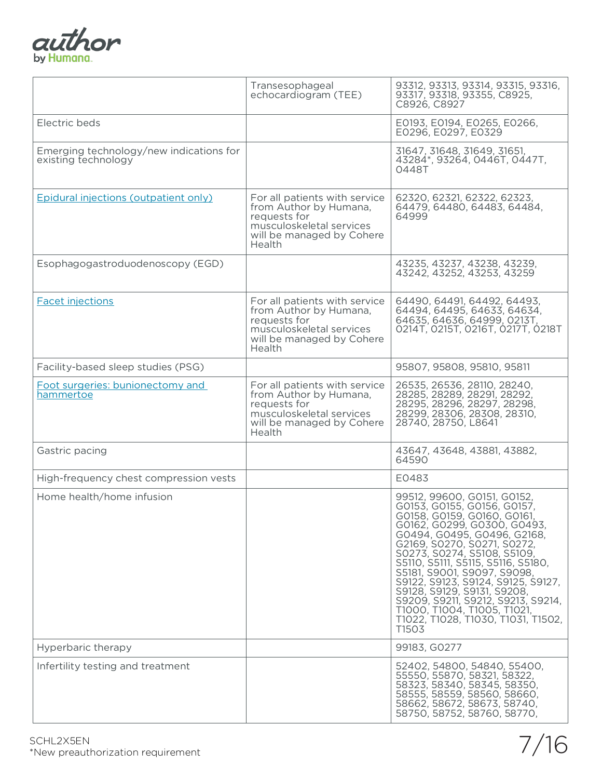

|                                                                | Transesophageal<br>echocardiogram (TEE)                                                                                                    | 93312, 93313, 93314, 93315, 93316,<br>93317, 93318, 93355, C8925,<br>C8926, C8927                                                                                                                                                                                                                                                                                                                                                                                                   |
|----------------------------------------------------------------|--------------------------------------------------------------------------------------------------------------------------------------------|-------------------------------------------------------------------------------------------------------------------------------------------------------------------------------------------------------------------------------------------------------------------------------------------------------------------------------------------------------------------------------------------------------------------------------------------------------------------------------------|
| Electric beds                                                  |                                                                                                                                            | E0193, E0194, E0265, E0266,<br>E0296, E0297, E0329                                                                                                                                                                                                                                                                                                                                                                                                                                  |
| Emerging technology/new indications for<br>existing technology |                                                                                                                                            | 31647, 31648, 31649, 31651,<br>43284*, 93264, 0446T, 0447T,<br>0448T                                                                                                                                                                                                                                                                                                                                                                                                                |
| Epidural injections (outpatient only)                          | For all patients with service<br>from Author by Humana,<br>requests for<br>musculoskeletal services<br>will be managed by Cohere<br>Health | 62320, 62321, 62322, 62323,<br>64479, 64480, 64483, 64484,<br>64999                                                                                                                                                                                                                                                                                                                                                                                                                 |
| Esophagogastroduodenoscopy (EGD)                               |                                                                                                                                            | 43235, 43237, 43238, 43239,<br>43242, 43252, 43253, 43259                                                                                                                                                                                                                                                                                                                                                                                                                           |
| <b>Facet injections</b>                                        | For all patients with service<br>from Author by Humana,<br>requests for<br>musculoskeletal services<br>will be managed by Cohere<br>Health | 64490, 64491, 64492, 64493,<br>64494, 64495, 64633, 64634,<br>64635, 64636, 64999, 0213T,<br>0214T, 0215T, 0216T, 0217T, 0218T                                                                                                                                                                                                                                                                                                                                                      |
| Facility-based sleep studies (PSG)                             |                                                                                                                                            | 95807, 95808, 95810, 95811                                                                                                                                                                                                                                                                                                                                                                                                                                                          |
| Foot surgeries: bunionectomy and<br>hammertoe                  | For all patients with service<br>from Author by Humana,<br>requests for<br>musculoskeletal services<br>will be managed by Cohere<br>Health | 26535, 26536, 28110, 28240,<br>28285, 28289, 28291, 28292,<br>28295, 28296, 28297, 28298,<br>28299, 28306, 28308, 28310,<br>28740, 28750, L8641                                                                                                                                                                                                                                                                                                                                     |
| Gastric pacing                                                 |                                                                                                                                            | 43647, 43648, 43881, 43882,<br>64590                                                                                                                                                                                                                                                                                                                                                                                                                                                |
| High-frequency chest compression vests                         |                                                                                                                                            | E0483                                                                                                                                                                                                                                                                                                                                                                                                                                                                               |
| Home health/home infusion                                      |                                                                                                                                            | 99512, 99600, G0151, G0152,<br>G0153, G0155, G0156, G0157,<br>G0158, G0159, G0160, G0161,<br>G0162, G0299, G0300, G0493,<br>G0494, G0495, G0496, G2168,<br>G2169, S0270, S0271, S0272,<br>S0273, S0274, S5108, S5109,<br>S5110, S5111, S5115, S5116, S5180,<br>S5181, S9001, S9097, S9098,<br>S9122, S9123, S9124, S9125, S9127,<br>S9128, S9129, S9131, S9208,<br>S9209, S9211, S9212, S9213, S9214,<br>T1000, T1004, T1005, T1021,<br>T1022, T1028, T1030, T1031, T1502,<br>T1503 |
| Hyperbaric therapy                                             |                                                                                                                                            | 99183, GO277                                                                                                                                                                                                                                                                                                                                                                                                                                                                        |
| Infertility testing and treatment                              |                                                                                                                                            | 52402, 54800, 54840, 55400,<br>55550, 55870, 58321, 58322,<br>58323, 58340, 58345, 58350,<br>58555, 58559, 58560, 58660,<br>58662, 58672, 58673, 58740,<br>58750, 58752, 58760, 58770,                                                                                                                                                                                                                                                                                              |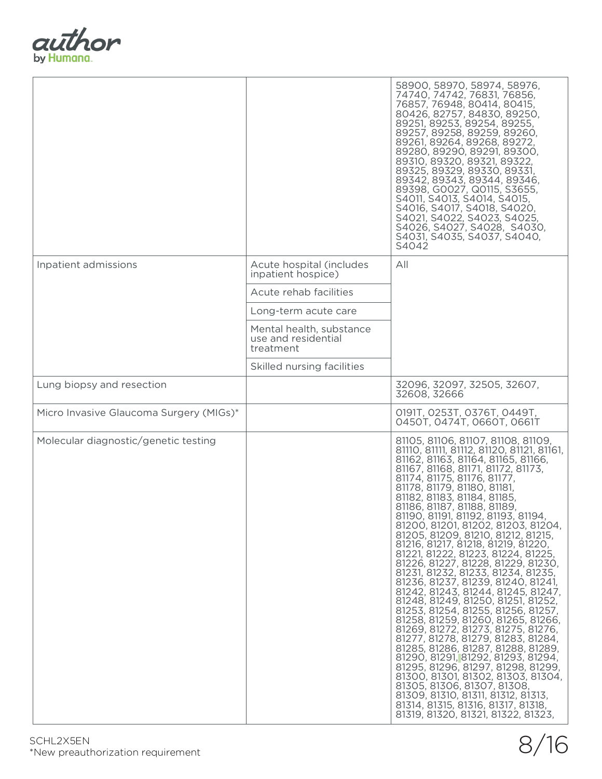

|                                         |                                                              | 58900, 58970, 58974, 58976,<br>74740, 74742, 76831, 76856,<br>76857, 76948, 80414, 80415,<br>80426, 82757, 84830, 89250,<br>89251, 89253, 89254, 89255,<br>89257, 89258, 89259, 89260,<br>89261, 89264, 89268, 89272,<br>89280, 89290, 89291, 89300,<br>89310, 89320, 89321, 89322,<br>89325, 89329, 89330, 89331,<br>89342, 89343, 89344, 89346,<br>89398, GOO27, Q0115, S3655,<br>S4011, S4013, S4014, S4015,<br>S4016, S4017, S4018, S4020,<br>S4021, S4022, S4023, S4025,<br>S4026, S4027, S4028, S4030,<br>S4031, S4035, S4037, S4040,<br>S4042                                                                                                                                                                                                                                                                                                                                                                                                                                                                                                                                                                                                 |
|-----------------------------------------|--------------------------------------------------------------|------------------------------------------------------------------------------------------------------------------------------------------------------------------------------------------------------------------------------------------------------------------------------------------------------------------------------------------------------------------------------------------------------------------------------------------------------------------------------------------------------------------------------------------------------------------------------------------------------------------------------------------------------------------------------------------------------------------------------------------------------------------------------------------------------------------------------------------------------------------------------------------------------------------------------------------------------------------------------------------------------------------------------------------------------------------------------------------------------------------------------------------------------|
| Inpatient admissions                    | Acute hospital (includes<br>inpatient hospice)               | All                                                                                                                                                                                                                                                                                                                                                                                                                                                                                                                                                                                                                                                                                                                                                                                                                                                                                                                                                                                                                                                                                                                                                  |
|                                         | Acute rehab facilities                                       |                                                                                                                                                                                                                                                                                                                                                                                                                                                                                                                                                                                                                                                                                                                                                                                                                                                                                                                                                                                                                                                                                                                                                      |
|                                         | Long-term acute care                                         |                                                                                                                                                                                                                                                                                                                                                                                                                                                                                                                                                                                                                                                                                                                                                                                                                                                                                                                                                                                                                                                                                                                                                      |
|                                         | Mental health, substance<br>use and residential<br>treatment |                                                                                                                                                                                                                                                                                                                                                                                                                                                                                                                                                                                                                                                                                                                                                                                                                                                                                                                                                                                                                                                                                                                                                      |
|                                         | Skilled nursing facilities                                   |                                                                                                                                                                                                                                                                                                                                                                                                                                                                                                                                                                                                                                                                                                                                                                                                                                                                                                                                                                                                                                                                                                                                                      |
| Lung biopsy and resection               |                                                              | 32096, 32097, 32505, 32607,<br>32608, 32666                                                                                                                                                                                                                                                                                                                                                                                                                                                                                                                                                                                                                                                                                                                                                                                                                                                                                                                                                                                                                                                                                                          |
| Micro Invasive Glaucoma Surgery (MIGs)* |                                                              | 0191T, 0253T, 0376T, 0449T,<br>0450T, 0474T, 0660T, 0661T                                                                                                                                                                                                                                                                                                                                                                                                                                                                                                                                                                                                                                                                                                                                                                                                                                                                                                                                                                                                                                                                                            |
| Molecular diagnostic/genetic testing    |                                                              | 81105, 81106, 81107, 81108, 81109,<br>81110, 81111, 81112, 81120, 81121, 81161,<br>81162, 81163, 81164, 81165, 81166,<br>81167, 81168, 81171, 81172, 81173,<br>81174, 81175, 81176, 81177,<br>81178, 81179, 81180, 81181,<br>81182, 81183, 81184, 81185,<br>81186, 81187, 81188, 81189,<br>81190, 81191, 81192, 81193, 81194,<br>81200, 81201, 81202, 81203, 81204,<br>81205, 81209, 81210, 81212, 81215,<br>81216, 81217, 81218, 81219, 81220,<br>81221, 81222, 81223, 81224, 81225,<br>81226, 81227, 81228, 81229, 81230,<br>81231, 81232, 81233, 81234, 81235,<br>81236, 81237, 81239, 81240, 81241,<br>81242, 81243, 81244, 81245, 81247,<br>81248, 81249, 81250, 81251, 81252,<br>81253, 81254, 81255, 81256, 81257,<br>81258, 81259, 81260, 81265, 81266,<br>81269, 81272, 81273, 81275, 81276,<br>81277, 81278, 81279, 81283, 81284,<br>81285, 81286, 81287, 81288, 81289,<br>81290, 81291, 81292, 81293, 81294,<br>81295, 81296, 81297, 81298, 81299,<br>81300, 81301, 81302, 81303, 81304,<br>81305, 81306, 81307, 81308,<br>81309, 81310, 81311, 81312, 81313,<br>81314, 81315, 81316, 81317, 81318,<br>81319, 81320, 81321, 81322, 81323, |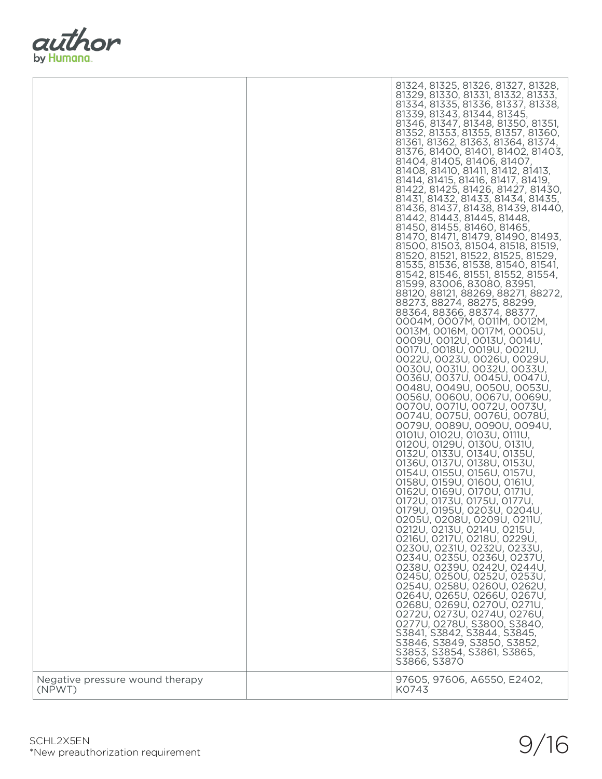

|                                           | 81324, 81325, 81326, 81327, 81328,<br>81329, 81330, 81331, 81332, 81333,<br>81334, 81335, 81336, 81337, 81338,<br>81339, 81343, 81344, 81345,<br>81346, 81347, 81348, 81350, 81351,<br>81352, 81353, 81355, 81357, 81360,<br>81361, 81362, 81363, 81364, 81374,<br>81376, 81400, 81401, 81402, 81403,<br>81404, 81405, 81406, 81407,<br>81408, 81410, 81411, 81412, 81413,<br>81414, 81415, 81416, 81417, 81419,<br>81422, 81425, 81426, 81427, 81430,<br>81431, 81432, 81433, 81434, 81435,<br>81436, 81437, 81438, 81439, 81440,<br>81442, 81443, 81445, 81448,<br>81450, 81455, 81460, 81465,<br>81470, 81471, 81479, 81490, 81493,<br>81500, 81503, 81504, 81518, 81519,<br>81520, 81521, 81522, 81525, 81529,<br>81535, 81536, 81538, 81540, 81541,<br>81542, 81546, 81551, 81552, 81554,<br>81599, 83006, 83080, 83951,<br>88120, 88121, 88269, 88271, 88272,<br>88273, 88274, 88275, 88299,<br>88364, 88366, 88374, 88377,<br>0004М, 0007М, 0011М, 0012М,<br>0013M, 0016M, 0017M, 0005U,<br>0009U, 0012U, 0013U, 0014U,<br>0017U, 0018U, 0019U, 0021U,<br>0022U, 0023U, 0026U, 0029U,<br>0030U, 0031U, 0032U, 0033U,<br>0036U, 0037U, 0045U, 0047U,<br>0048U, 0049U, 0050U, 0053U,<br>0056U, 0060U, 0067U, 0069U,<br>0070U, 0071U, 0072U, 0073U,<br>0074U, 0075U, 0076U, 0078U,<br>0079U, 0089U, 0090U, 0094U,<br>0101U, 0102U, 0103U, 0111U,<br>0120U, 0129U, 0130U, 0131U,<br>0132U, 0133U, 0134U, 0135U,<br>0136U, 0137U, 0138U, 0153U,<br>0154U, 0155U, 0156U, 0157U,<br>0158U, 0159U, 0160U, 0161U,<br>0162U, 0169U, 0170U, 0171U,<br>0172U, 0173U, 0175U, 0177U,<br>0179U, 0195U, 0203U, 0204U,<br>0205U, 0208U, 0209U, 0211U,<br>0212U, 0213U, 0214U, 0215U,<br>0216U, 0217U, 0218U, 0229U,<br>0230U, 0231U, 0232U, 0233U,<br>0234U, 0235U, 0236U, 0237U,<br>0238U, 0239U, 0242U, 0244U,<br>0245U, 0250U, 0252U, 0253U,<br>0254U, 0258U, 0260U, 0262U,<br>0264U, 0265U, 0266U, 0267U,<br>0268U, 0269U, 0270U, 0271U,<br>0272U, 0273U, 0274U, 0276U,<br>0277U, 0278U, S3800, S3840,<br>S3841, S3842, S3844, S3845,<br>S3846, S3849, S3850, S3852,<br>S3853, S3854, S3861, S3865, |
|-------------------------------------------|-----------------------------------------------------------------------------------------------------------------------------------------------------------------------------------------------------------------------------------------------------------------------------------------------------------------------------------------------------------------------------------------------------------------------------------------------------------------------------------------------------------------------------------------------------------------------------------------------------------------------------------------------------------------------------------------------------------------------------------------------------------------------------------------------------------------------------------------------------------------------------------------------------------------------------------------------------------------------------------------------------------------------------------------------------------------------------------------------------------------------------------------------------------------------------------------------------------------------------------------------------------------------------------------------------------------------------------------------------------------------------------------------------------------------------------------------------------------------------------------------------------------------------------------------------------------------------------------------------------------------------------------------------------------------------------------------------------------------------------------------------------------------------------------------------------------------------------------------------------------------------------------------------------------------------------------------------------------------------------------------------------------------------------------------------------------------------------------------|
| Negative pressure wound therapy<br>(NPWT) | S3866, S3870<br>97605, 97606, A6550, E2402,<br>K0743                                                                                                                                                                                                                                                                                                                                                                                                                                                                                                                                                                                                                                                                                                                                                                                                                                                                                                                                                                                                                                                                                                                                                                                                                                                                                                                                                                                                                                                                                                                                                                                                                                                                                                                                                                                                                                                                                                                                                                                                                                          |
|                                           |                                                                                                                                                                                                                                                                                                                                                                                                                                                                                                                                                                                                                                                                                                                                                                                                                                                                                                                                                                                                                                                                                                                                                                                                                                                                                                                                                                                                                                                                                                                                                                                                                                                                                                                                                                                                                                                                                                                                                                                                                                                                                               |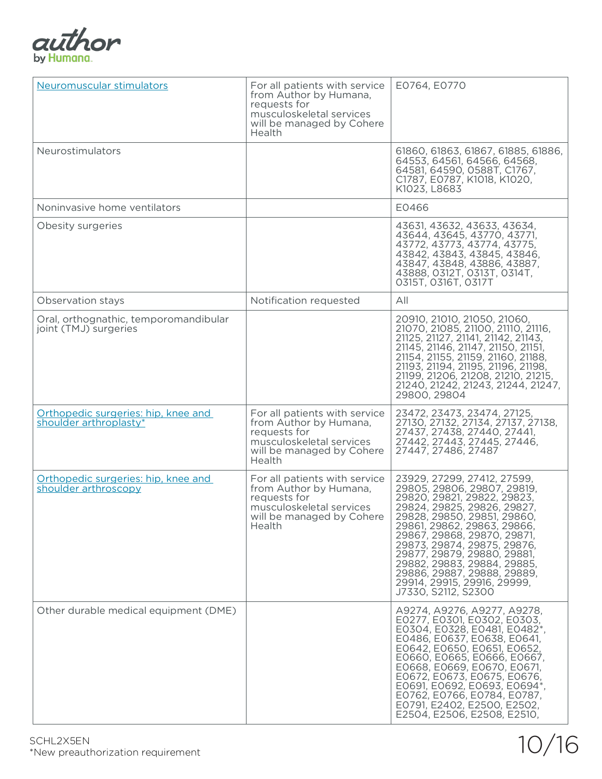

| Neuromuscular stimulators                                      | For all patients with service<br>from Author by Humana,<br>requests for<br>musculoskeletal services<br>will be managed by Cohere<br>Health | E0764, E0770                                                                                                                                                                                                                                                                                                                                                                                            |
|----------------------------------------------------------------|--------------------------------------------------------------------------------------------------------------------------------------------|---------------------------------------------------------------------------------------------------------------------------------------------------------------------------------------------------------------------------------------------------------------------------------------------------------------------------------------------------------------------------------------------------------|
| <b>Neurostimulators</b>                                        |                                                                                                                                            | 61860, 61863, 61867, 61885, 61886,<br>64553, 64561, 64566, 64568,<br>64581, 64590, 0588T, C1767,<br>C1787, E0787, K1018, K1020,<br>K1023, L8683                                                                                                                                                                                                                                                         |
| Noninvasive home ventilators                                   |                                                                                                                                            | E0466                                                                                                                                                                                                                                                                                                                                                                                                   |
| Obesity surgeries                                              |                                                                                                                                            | 43631, 43632, 43633, 43634,<br>43644, 43645, 43770, 43771,<br>43772, 43773, 43774, 43775,<br>43842, 43843, 43845, 43846,<br>43847, 43848, 43886, 43887,<br>43888, 0312T, 0313T, 0314T,<br>0315T, 0316T, 0317T                                                                                                                                                                                           |
| Observation stays                                              | Notification requested                                                                                                                     | All                                                                                                                                                                                                                                                                                                                                                                                                     |
| Oral, orthognathic, temporomandibular<br>joint (TMJ) surgeries |                                                                                                                                            | 20910, 21010, 21050, 21060,<br>21070, 21085, 21100, 21110, 21116,<br>21125, 21127, 21141, 21142, 21143,<br>21145, 21146, 21147, 21150, 21151,<br>21154, 21155, 21159, 21160, 21188,<br>21193, 21194, 21195, 21196, 21198,<br>21199, 21206, 21208, 21210, 21215,<br>21240, 21242, 21243, 21244, 21247,<br>29800, 29804                                                                                   |
| Orthopedic surgeries: hip, knee and<br>shoulder arthroplasty*  | For all patients with service<br>from Author by Humana,<br>requests for<br>musculoskeletal services<br>will be managed by Cohere<br>Health | 23472, 23473, 23474, 27125,<br>27130, 27132, 27134, 27137, 27138,<br>27437, 27438, 27440, 27441,<br>27442, 27443, 27445, 27446,<br>27447, 27486, 27487                                                                                                                                                                                                                                                  |
| Orthopedic surgeries: hip, knee and<br>shoulder arthroscopy    | For all patients with service<br>from Author by Humana,<br>requests for<br>musculoskeletal services<br>will be managed by Cohere<br>Health | 23929, 27299, 27412, 27599,<br>29805, 29806, 29807, 29819,<br>29820, 29821, 29822, 29823,<br>29824, 29825, 29826, 29827,<br>29828, 29850, 29851, 29860,<br>29861, 29862, 29863, 29866,<br>29867, 29868, 29870, 29871,<br>29873, 29874, 29875, 29876,<br>29877, 29879, 29880, 29881,<br>29882, 29883, 29884, 29885,<br>29886, 29887, 29888, 29889,<br>29914, 29915, 29916, 29999,<br>J7330, S2112, S2300 |
| Other durable medical equipment (DME)                          |                                                                                                                                            | A9274, A9276, A9277, A9278,<br>E0277, E0301, E0302, E0303,<br>E0304, E0328, E0481, E0482*,<br>E0486, E0637, E0638, E0641,<br>E0642, E0650, E0651, E0652,<br>E0660, E0665, E0666, E0667,<br>E0668, E0669, E0670, E0671,<br>E0672, E0673, E0675, E0676,<br>E0691, E0692, E0693, E0694*,<br>E0762, E0766, E0784, E0787,<br>E0791, E2402, E2500, E2502,<br>E2504, E2506, E2508, E2510,                      |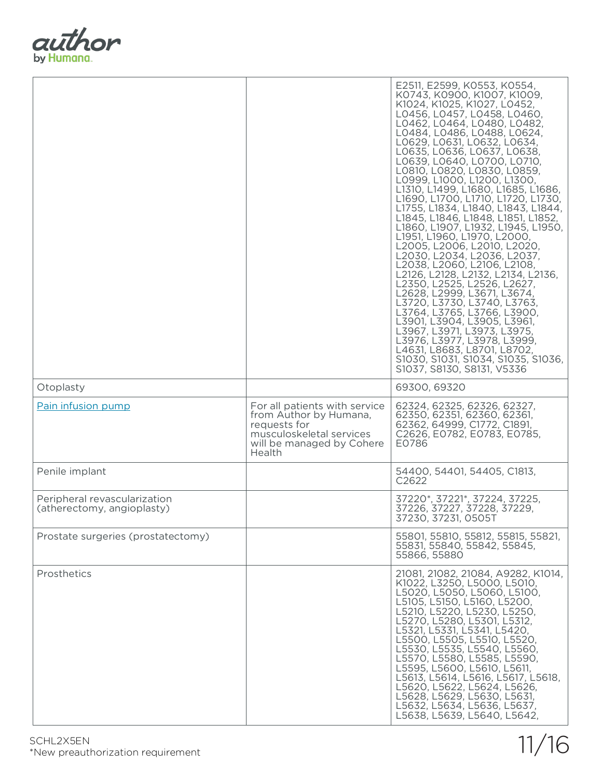

| Otoplasty                                                  |                                                                                                                                            | E2511, E2599, K0553, K0554,<br>K0743, K0900, K1007, K1009,<br>K1024, K1025, K1027, L0452,<br>L0456, L0457, L0458, L0460,<br>L0462, L0464, L0480, L0482,<br>L0484, L0486, L0488, L0624,<br>LO629, LO631, LO632, LO634,<br>LO635, LO636, LO637, LO638,<br>L0639, L0640, L0700, L0710,<br>LO810, LO820, LO830, LO859,<br>L0999, L1000, L1200, L1300,<br>L1310, L1499, L1680, L1685, L1686,<br>L1690, L1700, L1710, L1720, L1730,<br>L1755, L1834, L1840, L1843, L1844,<br>L1845, L1846, L1848, L1851, L1852,<br>L1860, L1907, L1932, L1945, L1950,<br>L1951, L1960, L1970, L2000,<br>L2005, L2006, L2010, L2020,<br>L2030, L2034, L2036, L2037,<br>L2038, L2060, L2106, L2108,<br>L2126, L2128, L2132, L2134, L2136,<br>L2350, L2525, L2526, L2627,<br>L2628, L2999, L3671, L3674,<br>L3720, L3730, L3740, L3763,<br>L3764, L3765, L3766, L3900,<br>L3901, L3904, L3905, L3961,<br>L3967, L3971, L3973, L3975,<br>L3976, L3977, L3978, L3999,<br>L4631, L8683, L8701, L8702,<br>S1030, S1031, S1034, S1035, S1036,<br>S1037, S8130, S8131, V5336<br>69300, 69320 |
|------------------------------------------------------------|--------------------------------------------------------------------------------------------------------------------------------------------|---------------------------------------------------------------------------------------------------------------------------------------------------------------------------------------------------------------------------------------------------------------------------------------------------------------------------------------------------------------------------------------------------------------------------------------------------------------------------------------------------------------------------------------------------------------------------------------------------------------------------------------------------------------------------------------------------------------------------------------------------------------------------------------------------------------------------------------------------------------------------------------------------------------------------------------------------------------------------------------------------------------------------------------------------------------|
| Pain infusion pump                                         | For all patients with service<br>from Author by Humana,<br>requests for<br>musculoskeletal services<br>will be managed by Cohere<br>Health | 62324, 62325, 62326, 62327,<br>62350, 62351, 62360, 62361,<br>62362, 64999, C1772, C1891,<br>C2626, E0782, E0783, E0785,<br>E0786                                                                                                                                                                                                                                                                                                                                                                                                                                                                                                                                                                                                                                                                                                                                                                                                                                                                                                                             |
| Penile implant                                             |                                                                                                                                            | 54400, 54401, 54405, C1813,<br>C2622                                                                                                                                                                                                                                                                                                                                                                                                                                                                                                                                                                                                                                                                                                                                                                                                                                                                                                                                                                                                                          |
| Peripheral revascularization<br>(atherectomy, angioplasty) |                                                                                                                                            | 37220*, 37221*, 37224, 37225,<br>37226, 37227, 37228, 37229,<br>37230, 37231, 0505T                                                                                                                                                                                                                                                                                                                                                                                                                                                                                                                                                                                                                                                                                                                                                                                                                                                                                                                                                                           |
| Prostate surgeries (prostatectomy)                         |                                                                                                                                            | 55801, 55810, 55812, 55815, 55821,<br>55831, 55840, 55842, 55845,<br>55866, 55880                                                                                                                                                                                                                                                                                                                                                                                                                                                                                                                                                                                                                                                                                                                                                                                                                                                                                                                                                                             |
| Prosthetics                                                |                                                                                                                                            | 21081, 21082, 21084, A9282, K1014,<br>K1022, L3250, L5000, L5010,<br>L5020, L5050, L5060, L5100,<br>L5105, L5150, L5160, L5200,<br>L5210, L5220, L5230, L5250,<br>L5270, L5280, L5301, L5312,<br>L5321, L5331, L5341, L5420,<br>L5500, L5505, L5510, L5520,<br>L5530, L5535, L5540, L5560,<br>L5570, L5580, L5585, L5590,<br>L5595, L5600, L5610, L5611,<br>L5613, L5614, L5616, L5617, L5618,<br>L5620, L5622, L5624, L5626,<br>L5628, L5629, L5630, L5631,<br>L5632, L5634, L5636, L5637,<br>L5638, L5639, L5640, L5642,                                                                                                                                                                                                                                                                                                                                                                                                                                                                                                                                    |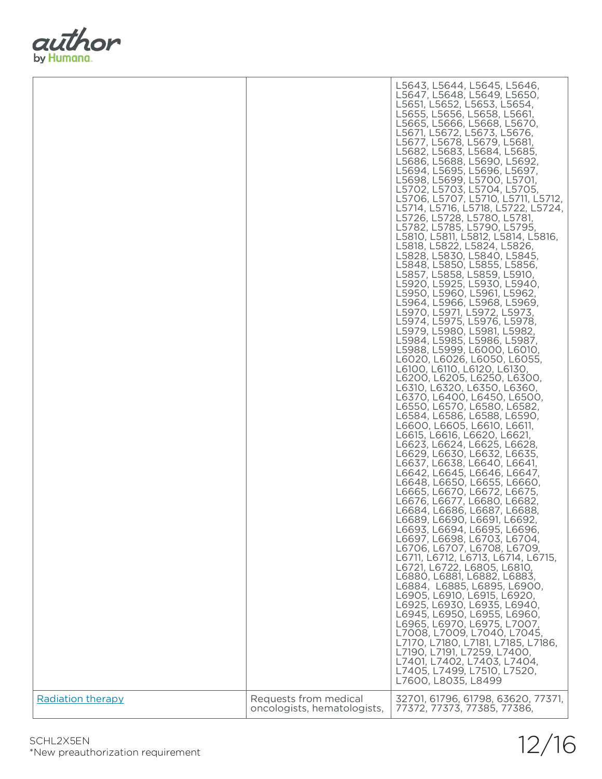

|                          |                                                      | L5643, L5644, L5645, L5646,<br>L5647, L5648, L5649, L5650,<br>L5651, L5652, L5653, L5654,<br>L5655, L5656, L5658, L5661,<br>L5665, L5666, L5668, L5670,<br>L5671, L5672, L5673, L5676,<br>L5677, L5678, L5679, L5681,<br>L5682, L5683, L5684, L5685,<br>L5686, L5688, L5690, L5692,<br>L5694, L5695, L5696, L5697,<br>L5698, L5699, L5700, L5701,<br>L5702, L5703, L5704, L5705,<br>L5706, L5707, L5710, L5711, L5712,<br>L5714, L5716, L5718, L5722, L5724,<br>L5726, L5728, L5780, L5781,<br>L5782, L5785, L5790, L5795,<br>L5810, L5811, L5812, L5814, L5816,<br>L5818, L5822, L5824, L5826,<br>L5828, L5830, L5840, L5845,<br>L5848, L5850, L5855, L5856,<br>L5857, L5858, L5859, L5910,<br>L5920, L5925, L5930, L5940,<br>L5950, L5960, L5961, L5962,<br>L5964, L5966, L5968, L5969,<br>L5970, L5971, L5972, L5973,<br>L5974, L5975, L5976, L5978,<br>L5979, L5980, L5981, L5982,<br>L5984, L5985, L5986, L5987,<br>L5988, L5999, L6000, L6010,<br>L6020, L6026, L6050, L6055,<br>L6100, L6110, L6120, L6130,<br>L6200, L6205, L6250, L6300,<br>L6310, L6320, L6350, L6360,<br>L6370, L6400, L6450, L6500,<br>L6550, L6570, L6580, L6582,<br>L6584, L6586, L6588, L6590,<br>L6600, L6605, L6610, L6611,<br>L6615, L6616, L6620, L6621,<br>L6623, L6624, L6625, L6628,<br>L6629, L6630, L6632, L6635,<br>L6637, L6638, L6640, L6641,<br>L6642, L6645, L6646, L6647,<br>L6648, L6650, L6655, L6660,<br>L6665, L6670, L6672, L6675,<br>L6676, L6677, L6680, L6682,<br>L6684, L6686, L6687, L6688,<br>L6689, L6690, L6691, L6692,<br>L6693, L6694, L6695, L6696,<br>L6697, L6698, L6703, L6704,<br>L6706, L6707, L6708, L6709,<br>L6711, L6712, L6713, L6714, L6715,<br>L6721, L6722, L6805, L6810,<br>L6880, L6881, L6882, L6883,<br>L6884, L6885, L6895, L6900,<br>L6905, L6910, L6915, L6920,<br>L6925, L6930, L6935, L6940,<br>L6945, L6950, L6955, L6960,<br>L6965, L6970, L6975, L7007,<br>L7008, L7009, L7040, L7045,<br>L7170, L7180, L7181, L7185, L7186,<br>L7190, L7191, L7259, L7400,<br>L7401, L7402, L7403, L7404,<br>L7405, L7499, L7510, L7520,<br>L7600, L8035, L8499 |
|--------------------------|------------------------------------------------------|-----------------------------------------------------------------------------------------------------------------------------------------------------------------------------------------------------------------------------------------------------------------------------------------------------------------------------------------------------------------------------------------------------------------------------------------------------------------------------------------------------------------------------------------------------------------------------------------------------------------------------------------------------------------------------------------------------------------------------------------------------------------------------------------------------------------------------------------------------------------------------------------------------------------------------------------------------------------------------------------------------------------------------------------------------------------------------------------------------------------------------------------------------------------------------------------------------------------------------------------------------------------------------------------------------------------------------------------------------------------------------------------------------------------------------------------------------------------------------------------------------------------------------------------------------------------------------------------------------------------------------------------------------------------------------------------------------------------------------------------------------------------------------------------------------------------------------------------------------------------------------------------------------------------------------------------------------------------------------------------------------------------------------------------------------------------------------------------|
| <b>Radiation therapy</b> | Requests from medical<br>oncologists, hematologists, | 32701, 61796, 61798, 63620, 77371,<br>77372, 77373, 77385, 77386,                                                                                                                                                                                                                                                                                                                                                                                                                                                                                                                                                                                                                                                                                                                                                                                                                                                                                                                                                                                                                                                                                                                                                                                                                                                                                                                                                                                                                                                                                                                                                                                                                                                                                                                                                                                                                                                                                                                                                                                                                       |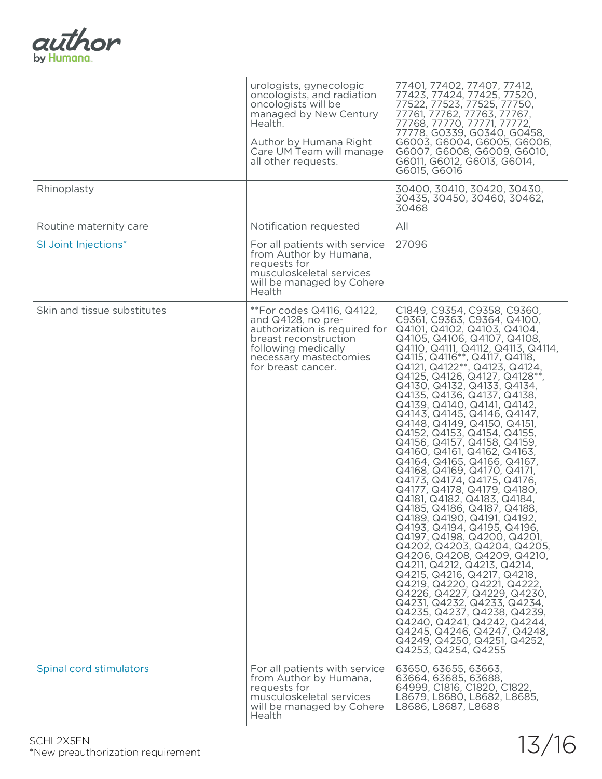| author     |
|------------|
| by Humana. |

|                             | urologists, gynecologic<br>oncologists, and radiation<br>oncologists will be<br>managed by New Century<br>Health.<br>Author by Humana Right<br>Care UM Team will manage<br>all other requests. | 77401, 77402, 77407, 77412,<br>77423, 77424, 77425, 77520,<br>77522, 77523, 77525, 77750,<br>77761, 77762, 77763, 77767,<br>77768, 77770, 77771, 77772,<br>77778, G0339, G0340, G0458,<br>G6003, G6004, G6005, G6006,<br>G6007, G6008, G6009, G6010,<br>G6011, G6012, G6013, G6014,<br>G6015, G6016                                                                                                                                                                                                                                                                                                                                                                                                                                                                                                                                                                                                                                                                                                                                                                                                                                                                                                       |
|-----------------------------|------------------------------------------------------------------------------------------------------------------------------------------------------------------------------------------------|-----------------------------------------------------------------------------------------------------------------------------------------------------------------------------------------------------------------------------------------------------------------------------------------------------------------------------------------------------------------------------------------------------------------------------------------------------------------------------------------------------------------------------------------------------------------------------------------------------------------------------------------------------------------------------------------------------------------------------------------------------------------------------------------------------------------------------------------------------------------------------------------------------------------------------------------------------------------------------------------------------------------------------------------------------------------------------------------------------------------------------------------------------------------------------------------------------------|
| Rhinoplasty                 |                                                                                                                                                                                                | 30400, 30410, 30420, 30430,<br>30435, 30450, 30460, 30462,<br>30468                                                                                                                                                                                                                                                                                                                                                                                                                                                                                                                                                                                                                                                                                                                                                                                                                                                                                                                                                                                                                                                                                                                                       |
| Routine maternity care      | Notification requested                                                                                                                                                                         | All                                                                                                                                                                                                                                                                                                                                                                                                                                                                                                                                                                                                                                                                                                                                                                                                                                                                                                                                                                                                                                                                                                                                                                                                       |
| SI Joint Injections*        | For all patients with service<br>from Author by Humana,<br>requests for<br>musculoskeletal services<br>will be managed by Cohere<br>Health                                                     | 27096                                                                                                                                                                                                                                                                                                                                                                                                                                                                                                                                                                                                                                                                                                                                                                                                                                                                                                                                                                                                                                                                                                                                                                                                     |
| Skin and tissue substitutes | **For codes Q4116, Q4122,<br>and Q4128, no pre-<br>authorization is required for<br>breast reconstruction<br>following medically<br>necessary mastectomies<br>for breast cancer.               | C1849, C9354, C9358, C9360,<br>C9361, C9363, C9364, Q4100,<br>Q4101, Q4102, Q4103, Q4104,<br>Q4105, Q4106, Q4107, Q4108,<br>Q4110, Q4111, Q4112, Q4113, Q4114,<br>Q4115, Q4116 <sup>*</sup> *, Q4117, Q4118,<br>Q4121, Q4122**, Q4123, Q4124,<br>Q4125, Q4126, Q4127, Q4128**,<br>Q4130, Q4132, Q4133, Q4134,<br>Q4135, Q4136, Q4137, Q4138,<br>Q4139, Q4140, Q4141, Q4142,<br>Q4143, Q4145, Q4146, Q4147,<br>Q4148, Q4149, Q4150, Q4151,<br>Q4152, Q4153, Q4154, Q4155,<br>Q4156, Q4157, Q4158, Q4159,<br>Q4160, Q4161, Q4162, Q4163,<br>Q4164, Q4165, Q4166, Q4167,<br>Q4168, Q4169, Q4170, Q4171,<br>Q4173, Q4174, Q4175, Q4176,<br>Q4177, Q4178, Q4179, Q4180,<br>Q4181, Q4182, Q4183, Q4184,<br>Q4185, Q4186, Q4187, Q4188,<br>Q4189, Q4190, Q4191, Q4192,<br>Q4193, Q4194, Q4195, Q4196,<br>Q4197, Q4198, Q4200, Q4201,<br>Q4202, Q4203, Q4204, Q4205,<br>Q4206, Q4208, Q4209, Q4210,<br>Q4211, Q4212, Q4213, Q4214,<br>Q4215, Q4216, Q4217, Q4218,<br>Q4219, Q4220, Q4221, Q4222,<br>Q4226, Q4227, Q4229, Q4230,<br>Q4231, Q4232, Q4233, Q4234,<br>Q4235, Q4237, Q4238, Q4239,<br>Q4240, Q4241, Q4242, Q4244,<br>Q4245, Q4246, Q4247, Q4248,<br>Q4249, Q4250, Q4251, Q4252,<br>Q4253, Q4254, Q4255 |
| Spinal cord stimulators     | For all patients with service<br>from Author by Humana,<br>requests for<br>musculoskeletal services<br>will be managed by Cohere<br>Health                                                     | 63650, 63655, 63663,<br>63664, 63685, 63688,<br>64999, C1816, C1820, C1822,<br>L8679, L8680, L8682, L8685,<br>L8686, L8687, L8688                                                                                                                                                                                                                                                                                                                                                                                                                                                                                                                                                                                                                                                                                                                                                                                                                                                                                                                                                                                                                                                                         |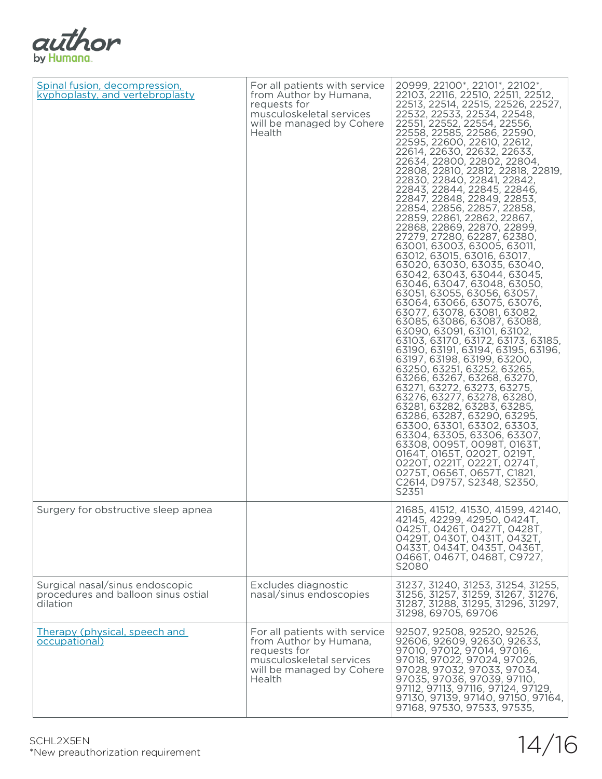| author     |
|------------|
| by Humana. |

| Spinal fusion, decompression,<br>kyphoplasty, and vertebroplasty                   | For all patients with service<br>from Author by Humana,<br>requests for<br>musculoskeletal services<br>will be managed by Cohere<br>Health | 20999, 22100*, 22101*, 22102*<br>22103, 22116, 22510, 22511, 22512,<br>22513, 22514, 22515, 22526, 22527,<br>22532, 22533, 22534, 22548,<br>22551, 22552, 22554, 22556,<br>22558, 22585, 22586, 22590,<br>22595, 22600, 22610, 22612,<br>22614, 22630, 22632, 22633,<br>22634, 22800, 22802, 22804,<br>22808, 22810, 22812, 22818, 22819,<br>22830, 22840, 22841, 22842,<br>22843, 22844, 22845, 22846,<br>22847, 22848, 22849, 22853,<br>22854, 22856, 22857, 22858,<br>22859, 22861, 22862, 22867,<br>22868, 22869, 22870, 22899,<br>27279, 27280, 62287, 62380,<br>63001, 63003, 63005, 63011,<br>63012, 63015, 63016, 63017,<br>63020, 63030, 63035, 63040,<br>63042, 63043, 63044, 63045,<br>63046, 63047, 63048, 63050,<br>63051, 63055, 63056, 63057,<br>63064, 63066, 63075, 63076,<br>63077, 63078, 63081, 63082,<br>63085, 63086, 63087, 63088,<br>63090, 63091, 63101, 63102,<br>63103, 63170, 63172, 63173, 63185,<br>63190, 63191, 63194, 63195, 63196,<br>63197, 63198, 63199, 63200,<br>63250, 63251, 63252, 63265,<br>63266, 63267, 63268, 63270,<br>63271, 63272, 63273, 63275,<br>63276, 63277, 63278, 63280,<br>63281, 63282, 63283, 63285,<br>63286, 63287, 63290, 63295,<br>63300, 63301, 63302, 63303,<br>63304, 63305, 63306, 63307,<br>63308, 0095T, 0098T, 0163T,<br>0164T, 0165T, 0202T, 0219T,<br>0220T, 0221T, 0222T, 0274T,<br>0275T, 0656T, 0657T, C1821,<br>C2614, D9757, S2348, S2350,<br>S2351 |
|------------------------------------------------------------------------------------|--------------------------------------------------------------------------------------------------------------------------------------------|---------------------------------------------------------------------------------------------------------------------------------------------------------------------------------------------------------------------------------------------------------------------------------------------------------------------------------------------------------------------------------------------------------------------------------------------------------------------------------------------------------------------------------------------------------------------------------------------------------------------------------------------------------------------------------------------------------------------------------------------------------------------------------------------------------------------------------------------------------------------------------------------------------------------------------------------------------------------------------------------------------------------------------------------------------------------------------------------------------------------------------------------------------------------------------------------------------------------------------------------------------------------------------------------------------------------------------------------------------------------------------------------------------------------------------|
| Surgery for obstructive sleep apnea                                                |                                                                                                                                            | 21685, 41512, 41530, 41599, 42140,<br>42145, 42299, 42950, 0424T,<br>0425T, 0426T, 0427T, 0428T,<br>0429T, 0430T, 0431T, 0432T,<br>0433T, 0434T, 0435T, 0436T,<br>0466T, 0467T, 0468T, C9727,<br>S2080                                                                                                                                                                                                                                                                                                                                                                                                                                                                                                                                                                                                                                                                                                                                                                                                                                                                                                                                                                                                                                                                                                                                                                                                                          |
| Surgical nasal/sinus endoscopic<br>procedures and balloon sinus ostial<br>dilation | Excludes diagnostic<br>nasal/sinus endoscopies                                                                                             | 31237, 31240, 31253, 31254, 31255,<br>31256, 31257, 31259, 31267, 31276,<br>31287, 31288, 31295, 31296, 31297,<br>31298, 69705, 69706                                                                                                                                                                                                                                                                                                                                                                                                                                                                                                                                                                                                                                                                                                                                                                                                                                                                                                                                                                                                                                                                                                                                                                                                                                                                                           |
| Therapy (physical, speech and<br>occupational)                                     | For all patients with service<br>from Author by Humana,<br>requests for<br>musculoskeletal services<br>will be managed by Cohere<br>Health | 92507, 92508, 92520, 92526,<br>92606, 92609, 92630, 92633,<br>97010, 97012, 97014, 97016,<br>97018, 97022, 97024, 97026,<br>97028, 97032, 97033, 97034,<br>97035, 97036, 97039, 97110,<br>97112, 97113, 97116, 97124, 97129,<br>97130, 97139, 97140, 97150, 97164,<br>97168, 97530, 97533, 97535,                                                                                                                                                                                                                                                                                                                                                                                                                                                                                                                                                                                                                                                                                                                                                                                                                                                                                                                                                                                                                                                                                                                               |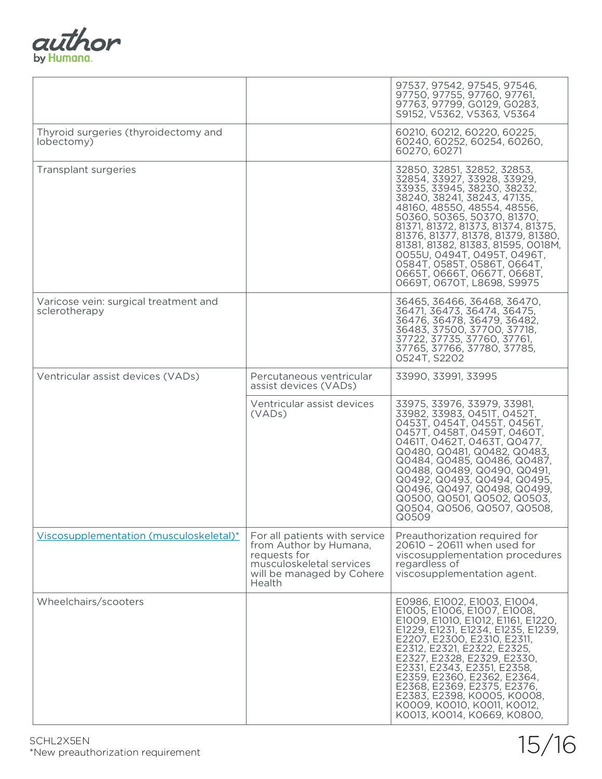

|                                                        |                                                                                                                                            | 97537, 97542, 97545, 97546,<br>97750, 97755, 97760, 97761,<br>97763, 97799, G0129, G0283,<br>S9152, V5362, V5363, V5364                                                                                                                                                                                                                                                                                                             |
|--------------------------------------------------------|--------------------------------------------------------------------------------------------------------------------------------------------|-------------------------------------------------------------------------------------------------------------------------------------------------------------------------------------------------------------------------------------------------------------------------------------------------------------------------------------------------------------------------------------------------------------------------------------|
| Thyroid surgeries (thyroidectomy and<br>lobectomy)     |                                                                                                                                            | 60210, 60212, 60220, 60225,<br>60240, 60252, 60254, 60260,<br>60270, 60271                                                                                                                                                                                                                                                                                                                                                          |
| Transplant surgeries                                   |                                                                                                                                            | 32850, 32851, 32852, 32853,<br>32854, 33927, 33928, 33929,<br>33935, 33945, 38230, 38232,<br>38240, 38241, 38243, 47135,<br>48160, 48550, 48554, 48556,<br>50360, 50365, 50370, 81370,<br>81371, 81372, 81373, 81374, 81375,<br>81376, 81377, 81378, 81379, 81380,<br>81381, 81382, 81383, 81595, 0018M,<br>0055U, 0494T, 0495T, 0496T,<br>0584T, 0585T, 0586T, 0664T,<br>0665Т, 0666Т, 0667Т, 0668Т,<br>0669T, 0670T, L8698, S9975 |
| Varicose vein: surgical treatment and<br>sclerotherapy |                                                                                                                                            | 36465, 36466, 36468, 36470,<br>36471, 36473, 36474, 36475,<br>36476, 36478, 36479, 36482,<br>36483, 37500, 37700, 37718,<br>37722, 37735, 37760, 37761,<br>37765, 37766, 37780, 37785,<br>0524T, S2202                                                                                                                                                                                                                              |
| Ventricular assist devices (VADs)                      | Percutaneous ventricular<br>assist devices (VADs)                                                                                          | 33990, 33991, 33995                                                                                                                                                                                                                                                                                                                                                                                                                 |
|                                                        | Ventricular assist devices<br>(VAD <sub>s</sub> )                                                                                          | 33975, 33976, 33979, 33981,<br>33982, 33983, 0451T, 0452T,<br>0453T, 0454T, 0455T, 0456T,<br>0457Т, 0458Т, 0459Т, 0460Т,<br>0461T, 0462T, 0463T, Q0477,<br>Q0480, Q0481, Q0482, Q0483,<br>Q0484, Q0485, Q0486, Q0487,<br>Q0488, Q0489, Q0490, Q0491,<br>Q0492, Q0493, Q0494, Q0495,<br>Q0496, Q0497, Q0498, Q0499,<br>Q0500, Q0501, Q0502, Q0503,<br>Q0504, Q0506, Q0507, Q0508,<br>Q0509                                           |
| Viscosupplementation (musculoskeletal)*                | For all patients with service<br>from Author by Humana,<br>requests for<br>musculoskeletal services<br>will be managed by Cohere<br>Health | Preauthorization required for<br>20610 - 20611 when used for<br>viscosupplementation procedures<br>regardless of<br>viscosupplementation agent.                                                                                                                                                                                                                                                                                     |
| Wheelchairs/scooters                                   |                                                                                                                                            | E0986, E1002, E1003, E1004,<br>E1005, E1006, E1007, E1008,<br>E1009, E1010, E1012, E1161, E1220,<br>E1229, E1231, E1234, E1235, E1239,<br>E2207, E2300, E2310, E2311,<br>E2312, E2321, E2322, E2325,<br>E2327, E2328, E2329, E2330,<br>E2331, E2343, E2351, E2358,<br>E2359, E2360, E2362, E2364,<br>E2368, E2369, E2375, E2376,<br>E2383, E2398, K0005, K0008,<br>K0009, K0010, K0011, K0012,<br>K0013, K0014, K0669, K0800,       |